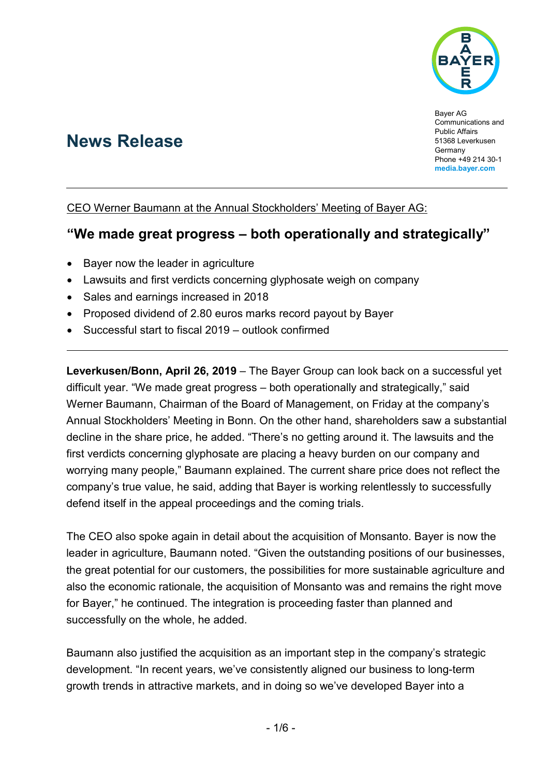

# **News Release**

Bayer AG Communications and Public Affairs 51368 Leverkusen **Germany** Phone +49 214 30-1 **[media.bayer.com](http://media.bayer.com/)**

#### CEO Werner Baumann at the Annual Stockholders' Meeting of Bayer AG:

## **"We made great progress – both operationally and strategically"**

- Bayer now the leader in agriculture
- Lawsuits and first verdicts concerning glyphosate weigh on company
- Sales and earnings increased in 2018
- Proposed dividend of 2.80 euros marks record payout by Bayer
- Successful start to fiscal 2019 outlook confirmed

**Leverkusen/Bonn, April 26, 2019** – The Bayer Group can look back on a successful yet difficult year. "We made great progress – both operationally and strategically," said Werner Baumann, Chairman of the Board of Management, on Friday at the company's Annual Stockholders' Meeting in Bonn. On the other hand, shareholders saw a substantial decline in the share price, he added. "There's no getting around it. The lawsuits and the first verdicts concerning glyphosate are placing a heavy burden on our company and worrying many people," Baumann explained. The current share price does not reflect the company's true value, he said, adding that Bayer is working relentlessly to successfully defend itself in the appeal proceedings and the coming trials.

The CEO also spoke again in detail about the acquisition of Monsanto. Bayer is now the leader in agriculture, Baumann noted. "Given the outstanding positions of our businesses, the great potential for our customers, the possibilities for more sustainable agriculture and also the economic rationale, the acquisition of Monsanto was and remains the right move for Bayer," he continued. The integration is proceeding faster than planned and successfully on the whole, he added.

Baumann also justified the acquisition as an important step in the company's strategic development. "In recent years, we've consistently aligned our business to long-term growth trends in attractive markets, and in doing so we've developed Bayer into a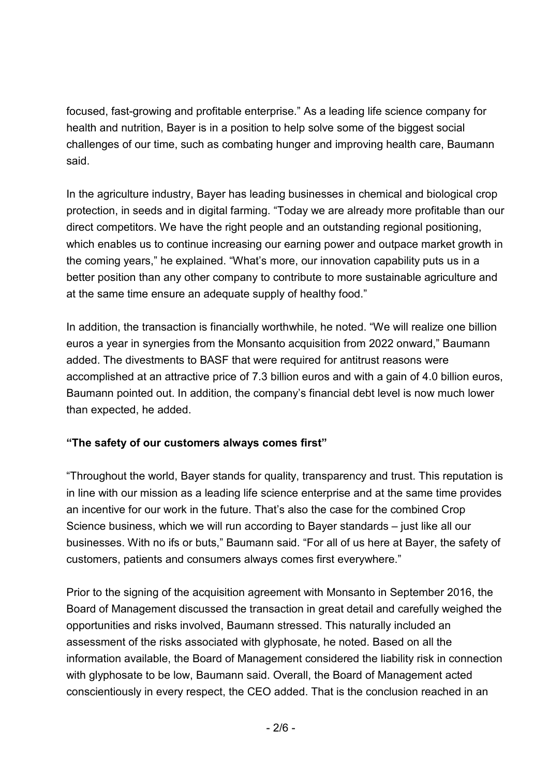focused, fast-growing and profitable enterprise." As a leading life science company for health and nutrition, Bayer is in a position to help solve some of the biggest social challenges of our time, such as combating hunger and improving health care, Baumann said.

In the agriculture industry, Bayer has leading businesses in chemical and biological crop protection, in seeds and in digital farming. "Today we are already more profitable than our direct competitors. We have the right people and an outstanding regional positioning, which enables us to continue increasing our earning power and outpace market growth in the coming years," he explained. "What's more, our innovation capability puts us in a better position than any other company to contribute to more sustainable agriculture and at the same time ensure an adequate supply of healthy food."

In addition, the transaction is financially worthwhile, he noted. "We will realize one billion euros a year in synergies from the Monsanto acquisition from 2022 onward," Baumann added. The divestments to BASF that were required for antitrust reasons were accomplished at an attractive price of 7.3 billion euros and with a gain of 4.0 billion euros, Baumann pointed out. In addition, the company's financial debt level is now much lower than expected, he added.

#### **"The safety of our customers always comes first"**

"Throughout the world, Bayer stands for quality, transparency and trust. This reputation is in line with our mission as a leading life science enterprise and at the same time provides an incentive for our work in the future. That's also the case for the combined Crop Science business, which we will run according to Bayer standards – just like all our businesses. With no ifs or buts," Baumann said. "For all of us here at Bayer, the safety of customers, patients and consumers always comes first everywhere."

Prior to the signing of the acquisition agreement with Monsanto in September 2016, the Board of Management discussed the transaction in great detail and carefully weighed the opportunities and risks involved, Baumann stressed. This naturally included an assessment of the risks associated with glyphosate, he noted. Based on all the information available, the Board of Management considered the liability risk in connection with glyphosate to be low, Baumann said. Overall, the Board of Management acted conscientiously in every respect, the CEO added. That is the conclusion reached in an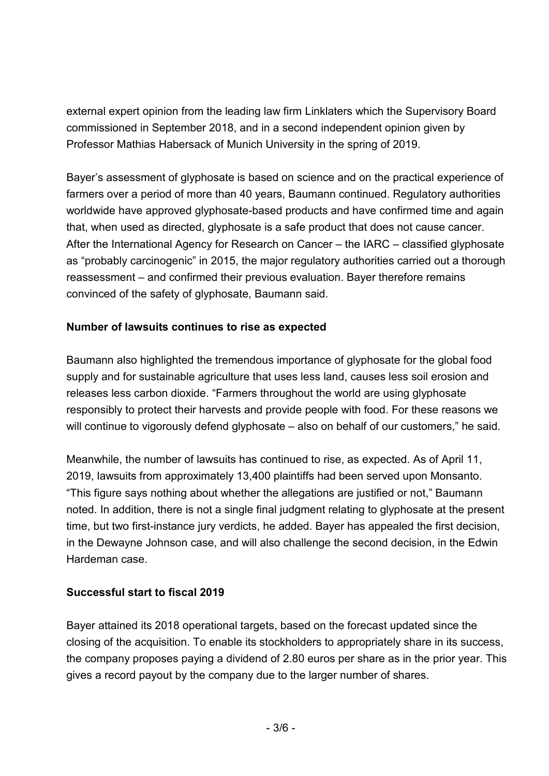external expert opinion from the leading law firm Linklaters which the Supervisory Board commissioned in September 2018, and in a second independent opinion given by Professor Mathias Habersack of Munich University in the spring of 2019.

Bayer's assessment of glyphosate is based on science and on the practical experience of farmers over a period of more than 40 years, Baumann continued. Regulatory authorities worldwide have approved glyphosate-based products and have confirmed time and again that, when used as directed, glyphosate is a safe product that does not cause cancer. After the International Agency for Research on Cancer – the IARC – classified glyphosate as "probably carcinogenic" in 2015, the major regulatory authorities carried out a thorough reassessment – and confirmed their previous evaluation. Bayer therefore remains convinced of the safety of glyphosate, Baumann said.

#### **Number of lawsuits continues to rise as expected**

Baumann also highlighted the tremendous importance of glyphosate for the global food supply and for sustainable agriculture that uses less land, causes less soil erosion and releases less carbon dioxide. "Farmers throughout the world are using glyphosate responsibly to protect their harvests and provide people with food. For these reasons we will continue to vigorously defend glyphosate – also on behalf of our customers," he said.

Meanwhile, the number of lawsuits has continued to rise, as expected. As of April 11, 2019, lawsuits from approximately 13,400 plaintiffs had been served upon Monsanto. "This figure says nothing about whether the allegations are justified or not," Baumann noted. In addition, there is not a single final judgment relating to glyphosate at the present time, but two first-instance jury verdicts, he added. Bayer has appealed the first decision, in the Dewayne Johnson case, and will also challenge the second decision, in the Edwin Hardeman case.

#### **Successful start to fiscal 2019**

Bayer attained its 2018 operational targets, based on the forecast updated since the closing of the acquisition. To enable its stockholders to appropriately share in its success, the company proposes paying a dividend of 2.80 euros per share as in the prior year. This gives a record payout by the company due to the larger number of shares.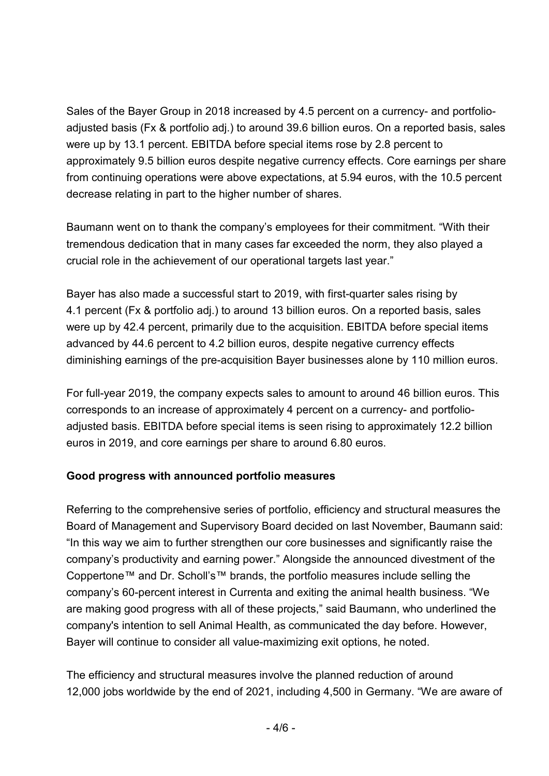Sales of the Bayer Group in 2018 increased by 4.5 percent on a currency- and portfolioadjusted basis (Fx & portfolio adj.) to around 39.6 billion euros. On a reported basis, sales were up by 13.1 percent. EBITDA before special items rose by 2.8 percent to approximately 9.5 billion euros despite negative currency effects. Core earnings per share from continuing operations were above expectations, at 5.94 euros, with the 10.5 percent decrease relating in part to the higher number of shares.

Baumann went on to thank the company's employees for their commitment. "With their tremendous dedication that in many cases far exceeded the norm, they also played a crucial role in the achievement of our operational targets last year."

Bayer has also made a successful start to 2019, with first-quarter sales rising by 4.1 percent (Fx & portfolio adj.) to around 13 billion euros. On a reported basis, sales were up by 42.4 percent, primarily due to the acquisition. EBITDA before special items advanced by 44.6 percent to 4.2 billion euros, despite negative currency effects diminishing earnings of the pre-acquisition Bayer businesses alone by 110 million euros.

For full-year 2019, the company expects sales to amount to around 46 billion euros. This corresponds to an increase of approximately 4 percent on a currency- and portfolioadjusted basis. EBITDA before special items is seen rising to approximately 12.2 billion euros in 2019, and core earnings per share to around 6.80 euros.

#### **Good progress with announced portfolio measures**

Referring to the comprehensive series of portfolio, efficiency and structural measures the Board of Management and Supervisory Board decided on last November, Baumann said: "In this way we aim to further strengthen our core businesses and significantly raise the company's productivity and earning power." Alongside the announced divestment of the Coppertone™ and Dr. Scholl's™ brands, the portfolio measures include selling the company's 60-percent interest in Currenta and exiting the animal health business. "We are making good progress with all of these projects," said Baumann, who underlined the company's intention to sell Animal Health, as communicated the day before. However, Bayer will continue to consider all value-maximizing exit options, he noted.

The efficiency and structural measures involve the planned reduction of around 12,000 jobs worldwide by the end of 2021, including 4,500 in Germany. "We are aware of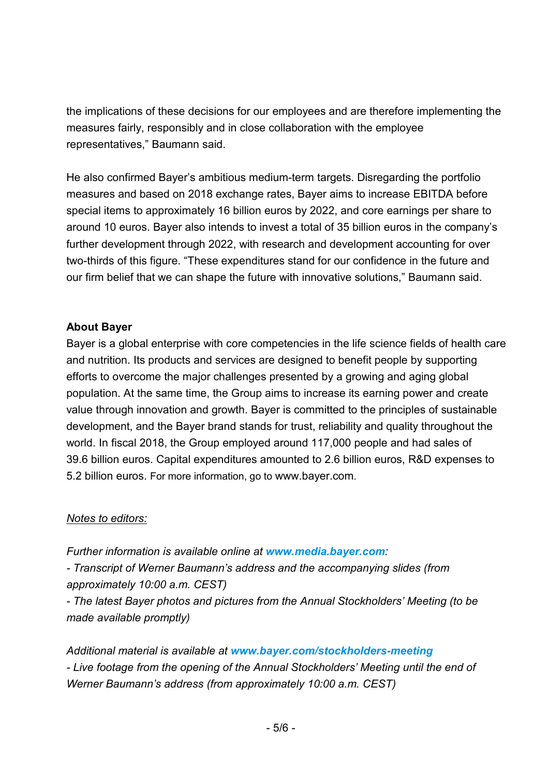the implications of these decisions for our employees and are therefore implementing the measures fairly, responsibly and in close collaboration with the employee representatives," Baumann said.

He also confirmed Bayer's ambitious medium-term targets. Disregarding the portfolio measures and based on 2018 exchange rates, Bayer aims to increase EBITDA before special items to approximately 16 billion euros by 2022, and core earnings per share to around 10 euros. Bayer also intends to invest a total of 35 billion euros in the company's further development through 2022, with research and development accounting for over two-thirds of this figure. "These expenditures stand for our confidence in the future and our firm belief that we can shape the future with innovative solutions," Baumann said.

#### **About Bayer**

Bayer is a global enterprise with core competencies in the life science fields of health care and nutrition. Its products and services are designed to benefit people by supporting efforts to overcome the major challenges presented by a growing and aging global population. At the same time, the Group aims to increase its earning power and create value through innovation and growth. Bayer is committed to the principles of sustainable development, and the Bayer brand stands for trust, reliability and quality throughout the world. In fiscal 2018, the Group employed around 117,000 people and had sales of 39.6 billion euros. Capital expenditures amounted to 2.6 billion euros, R&D expenses to 5.2 billion euros. For more information, go to [www.bayer.com.](http://www.bayer.com/)

#### *Notes to editors:*

*Further information is available online at [www.media.bayer.com](http://www.media.bayer.com/):*

*- Transcript of Werner Baumann's address and the accompanying slides (from approximately 10:00 a.m. CEST)*

*- The latest Bayer photos and pictures from the Annual Stockholders' Meeting (to be made available promptly)*

*Additional material is available at [www.bayer.com/stockholders-meeting](http://www.bayer.com/stockholders-meeting) - Live footage from the opening of the Annual Stockholders' Meeting until the end of Werner Baumann's address (from approximately 10:00 a.m. CEST)*